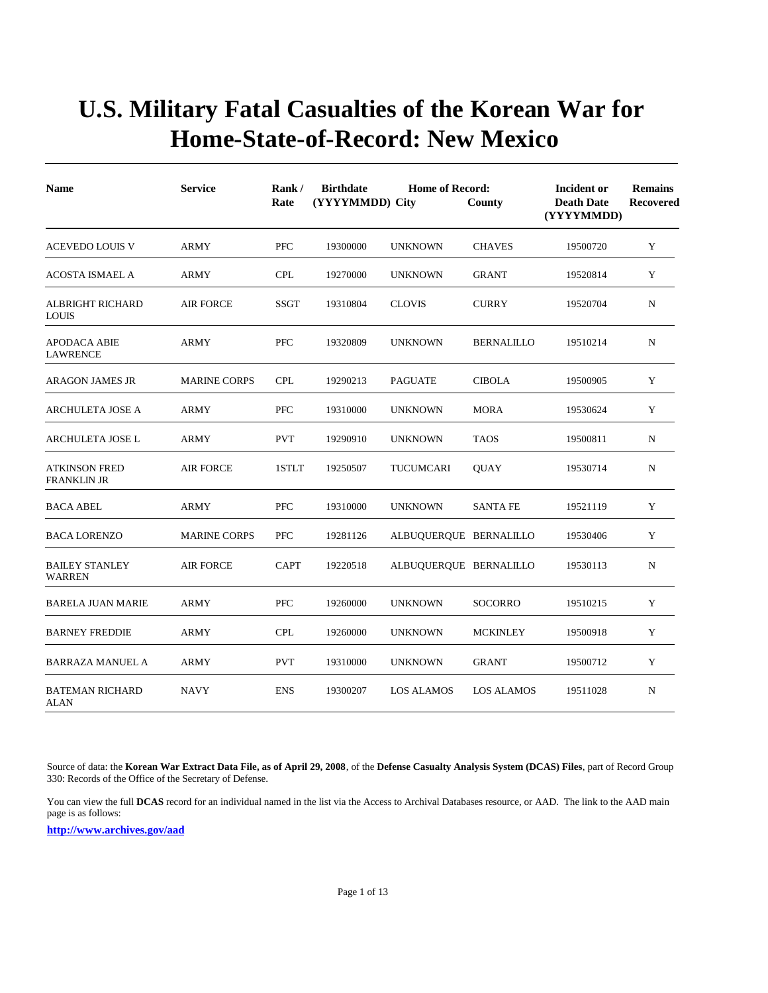| <b>Name</b>                                | <b>Service</b>      | Rank/<br>Rate | <b>Birthdate</b><br><b>Home of Record:</b><br>(YYYYMMDD) City<br>County<br>(YYYYMMDD) |                        |                   |          | <b>Remains</b><br>Recovered |
|--------------------------------------------|---------------------|---------------|---------------------------------------------------------------------------------------|------------------------|-------------------|----------|-----------------------------|
| <b>ACEVEDO LOUIS V</b>                     | ARMY                | <b>PFC</b>    | 19300000                                                                              | <b>UNKNOWN</b>         | <b>CHAVES</b>     | 19500720 | Y                           |
| ACOSTA ISMAEL A                            | ARMY                | <b>CPL</b>    | 19270000                                                                              | <b>UNKNOWN</b>         | <b>GRANT</b>      | 19520814 | Y                           |
| ALBRIGHT RICHARD<br><b>LOUIS</b>           | <b>AIR FORCE</b>    | SSGT          | 19310804                                                                              | <b>CLOVIS</b>          | <b>CURRY</b>      | 19520704 | N                           |
| <b>APODACA ABIE</b><br><b>LAWRENCE</b>     | ARMY                | <b>PFC</b>    | 19320809                                                                              | <b>UNKNOWN</b>         | <b>BERNALILLO</b> | 19510214 | N                           |
| <b>ARAGON JAMES JR</b>                     | <b>MARINE CORPS</b> | <b>CPL</b>    | 19290213                                                                              | <b>PAGUATE</b>         | <b>CIBOLA</b>     | 19500905 | Y                           |
| <b>ARCHULETA JOSE A</b>                    | <b>ARMY</b>         | <b>PFC</b>    | 19310000                                                                              | <b>UNKNOWN</b>         | <b>MORA</b>       | 19530624 | Y                           |
| ARCHULETA JOSE L                           | <b>ARMY</b>         | <b>PVT</b>    | 19290910                                                                              | <b>UNKNOWN</b>         | <b>TAOS</b>       | 19500811 | $\mathbf N$                 |
| <b>ATKINSON FRED</b><br><b>FRANKLIN JR</b> | <b>AIR FORCE</b>    | 1STLT         | 19250507                                                                              | TUCUMCARI              | <b>QUAY</b>       | 19530714 | N                           |
| <b>BACA ABEL</b>                           | ARMY                | <b>PFC</b>    | 19310000                                                                              | <b>UNKNOWN</b>         | <b>SANTA FE</b>   | 19521119 | Y                           |
| <b>BACA LORENZO</b>                        | <b>MARINE CORPS</b> | <b>PFC</b>    | 19281126                                                                              | ALBUQUERQUE BERNALILLO |                   | 19530406 | Y                           |
| <b>BAILEY STANLEY</b><br><b>WARREN</b>     | <b>AIR FORCE</b>    | <b>CAPT</b>   | 19220518                                                                              | ALBUQUERQUE BERNALILLO |                   | 19530113 | N                           |
| <b>BARELA JUAN MARIE</b>                   | ARMY                | <b>PFC</b>    | 19260000                                                                              | <b>UNKNOWN</b>         | <b>SOCORRO</b>    | 19510215 | Y                           |
| <b>BARNEY FREDDIE</b>                      | ARMY                | <b>CPL</b>    | 19260000                                                                              | <b>UNKNOWN</b>         | <b>MCKINLEY</b>   | 19500918 | Y                           |
| <b>BARRAZA MANUEL A</b>                    | <b>ARMY</b>         | <b>PVT</b>    | 19310000                                                                              | <b>UNKNOWN</b>         | <b>GRANT</b>      | 19500712 | Y                           |
| <b>BATEMAN RICHARD</b><br>ALAN             | <b>NAVY</b>         | <b>ENS</b>    | 19300207                                                                              | LOS ALAMOS             | <b>LOS ALAMOS</b> | 19511028 | N                           |

Source of data: the **Korean War Extract Data File, as of April 29, 2008**, of the **Defense Casualty Analysis System (DCAS) Files**, part of Record Group 330: Records of the Office of the Secretary of Defense.

You can view the full **DCAS** record for an individual named in the list via the Access to Archival Databases resource, or AAD. The link to the AAD main page is as follows: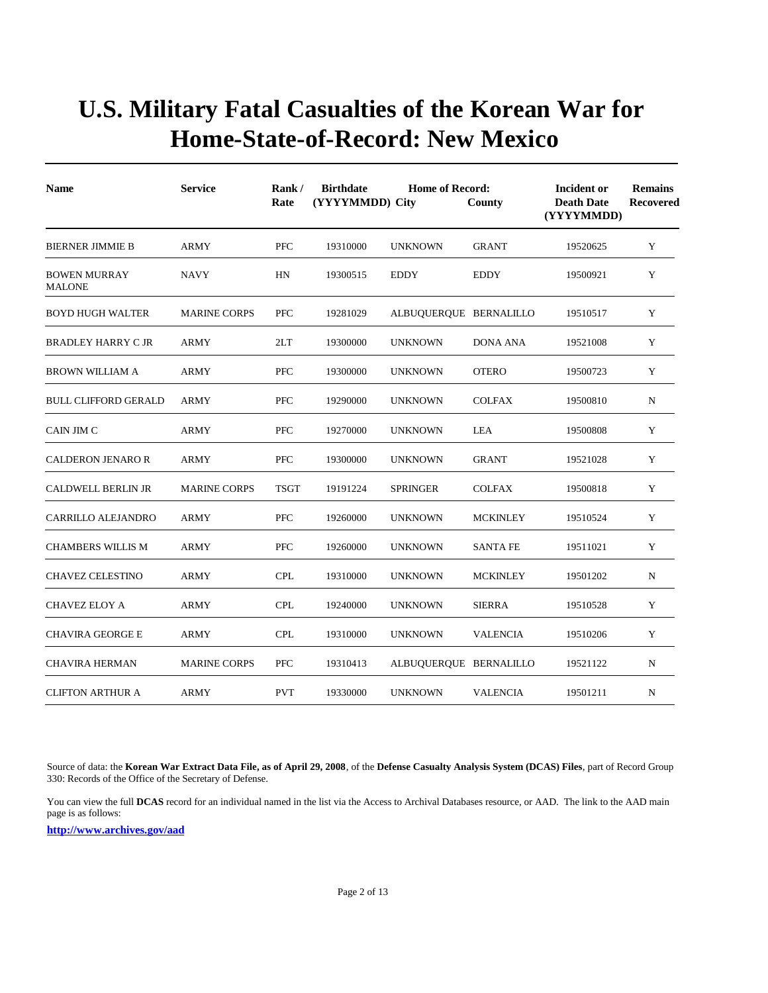| <b>Name</b>                          | <b>Service</b>      | Rank/<br>Rate | <b>Birthdate</b> | <b>Home of Record:</b><br>(YYYYMMDD) City<br>County |                 |          | <b>Remains</b><br><b>Recovered</b> |
|--------------------------------------|---------------------|---------------|------------------|-----------------------------------------------------|-----------------|----------|------------------------------------|
| <b>BIERNER JIMMIE B</b>              | <b>ARMY</b>         | <b>PFC</b>    | 19310000         | <b>UNKNOWN</b>                                      | <b>GRANT</b>    | 19520625 | Y                                  |
| <b>BOWEN MURRAY</b><br><b>MALONE</b> | <b>NAVY</b>         | HN            | 19300515         | <b>EDDY</b>                                         | <b>EDDY</b>     | 19500921 | Y                                  |
| <b>BOYD HUGH WALTER</b>              | <b>MARINE CORPS</b> | <b>PFC</b>    | 19281029         | ALBUQUERQUE BERNALILLO                              |                 | 19510517 | Y                                  |
| <b>BRADLEY HARRY CJR</b>             | <b>ARMY</b>         | 2LT           | 19300000         | <b>UNKNOWN</b>                                      | <b>DONA ANA</b> | 19521008 | Y                                  |
| <b>BROWN WILLIAM A</b>               | <b>ARMY</b>         | <b>PFC</b>    | 19300000         | <b>UNKNOWN</b>                                      | <b>OTERO</b>    | 19500723 | Y                                  |
| <b>BULL CLIFFORD GERALD</b>          | <b>ARMY</b>         | <b>PFC</b>    | 19290000         | <b>UNKNOWN</b>                                      | <b>COLFAX</b>   | 19500810 | N                                  |
| CAIN JIM C                           | <b>ARMY</b>         | <b>PFC</b>    | 19270000         | <b>UNKNOWN</b>                                      | LEA             | 19500808 | Y                                  |
| <b>CALDERON JENARO R</b>             | <b>ARMY</b>         | <b>PFC</b>    | 19300000         | <b>UNKNOWN</b>                                      | <b>GRANT</b>    | 19521028 | Y                                  |
| <b>CALDWELL BERLIN JR</b>            | <b>MARINE CORPS</b> | <b>TSGT</b>   | 19191224         | <b>SPRINGER</b>                                     | <b>COLFAX</b>   | 19500818 | Y                                  |
| CARRILLO ALEJANDRO                   | <b>ARMY</b>         | <b>PFC</b>    | 19260000         | <b>UNKNOWN</b>                                      | <b>MCKINLEY</b> | 19510524 | Y                                  |
| <b>CHAMBERS WILLIS M</b>             | <b>ARMY</b>         | <b>PFC</b>    | 19260000         | <b>UNKNOWN</b>                                      | <b>SANTA FE</b> | 19511021 | Y                                  |
| CHAVEZ CELESTINO                     | <b>ARMY</b>         | <b>CPL</b>    | 19310000         | <b>UNKNOWN</b>                                      | <b>MCKINLEY</b> | 19501202 | $\mathbf N$                        |
| <b>CHAVEZ ELOY A</b>                 | <b>ARMY</b>         | <b>CPL</b>    | 19240000         | <b>UNKNOWN</b>                                      | <b>SIERRA</b>   | 19510528 | Y                                  |
| <b>CHAVIRA GEORGE E</b>              | <b>ARMY</b>         | <b>CPL</b>    | 19310000         | <b>UNKNOWN</b>                                      | <b>VALENCIA</b> | 19510206 | Y                                  |
| <b>CHAVIRA HERMAN</b>                | <b>MARINE CORPS</b> | <b>PFC</b>    | 19310413         | ALBUQUERQUE BERNALILLO                              |                 | 19521122 | N                                  |
| <b>CLIFTON ARTHUR A</b>              | <b>ARMY</b>         | <b>PVT</b>    | 19330000         | <b>UNKNOWN</b>                                      | <b>VALENCIA</b> | 19501211 | N                                  |

Source of data: the **Korean War Extract Data File, as of April 29, 2008**, of the **Defense Casualty Analysis System (DCAS) Files**, part of Record Group 330: Records of the Office of the Secretary of Defense.

You can view the full **DCAS** record for an individual named in the list via the Access to Archival Databases resource, or AAD. The link to the AAD main page is as follows: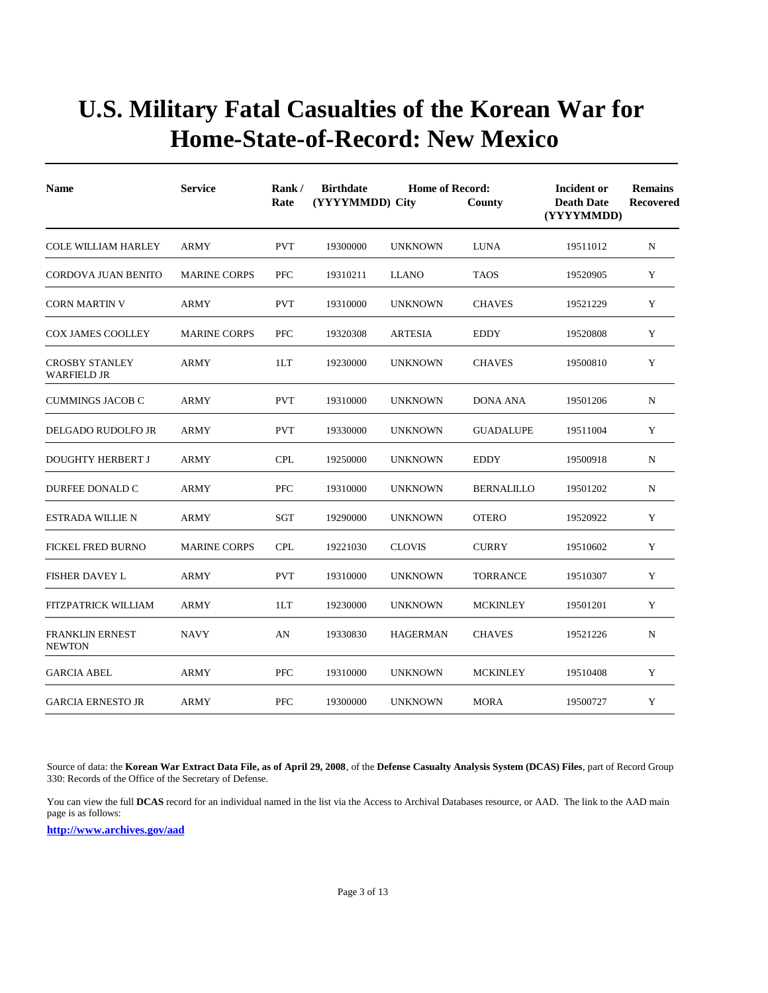| <b>Name</b>                                 | <b>Service</b>      | Rank/<br>Rate | <b>Birthdate</b><br><b>Home of Record:</b><br>(YYYYMMDD) City<br>County |                 |                   | <b>Incident or</b><br><b>Death Date</b><br>(YYYYMMDD) | <b>Remains</b><br>Recovered |
|---------------------------------------------|---------------------|---------------|-------------------------------------------------------------------------|-----------------|-------------------|-------------------------------------------------------|-----------------------------|
| <b>COLE WILLIAM HARLEY</b>                  | <b>ARMY</b>         | <b>PVT</b>    | 19300000                                                                | <b>UNKNOWN</b>  | <b>LUNA</b>       | 19511012                                              | N                           |
| <b>CORDOVA JUAN BENITO</b>                  | <b>MARINE CORPS</b> | <b>PFC</b>    | 19310211                                                                | <b>LLANO</b>    | <b>TAOS</b>       | 19520905                                              | Y                           |
| <b>CORN MARTIN V</b>                        | ARMY                | <b>PVT</b>    | 19310000                                                                | <b>UNKNOWN</b>  | <b>CHAVES</b>     | 19521229                                              | Y                           |
| <b>COX JAMES COOLLEY</b>                    | <b>MARINE CORPS</b> | <b>PFC</b>    | 19320308                                                                | <b>ARTESIA</b>  | <b>EDDY</b>       | 19520808                                              | Y                           |
| <b>CROSBY STANLEY</b><br><b>WARFIELD JR</b> | ARMY                | 1LT           | 19230000                                                                | <b>UNKNOWN</b>  | <b>CHAVES</b>     | 19500810                                              | Y                           |
| <b>CUMMINGS JACOB C</b>                     | ARMY                | <b>PVT</b>    | 19310000                                                                | <b>UNKNOWN</b>  | <b>DONA ANA</b>   | 19501206                                              | N                           |
| DELGADO RUDOLFO JR                          | ARMY                | <b>PVT</b>    | 19330000                                                                | <b>UNKNOWN</b>  | <b>GUADALUPE</b>  | 19511004                                              | Y                           |
| <b>DOUGHTY HERBERT J</b>                    | ARMY                | <b>CPL</b>    | 19250000                                                                | <b>UNKNOWN</b>  | <b>EDDY</b>       | 19500918                                              | N                           |
| DURFEE DONALD C                             | <b>ARMY</b>         | <b>PFC</b>    | 19310000                                                                | <b>UNKNOWN</b>  | <b>BERNALILLO</b> | 19501202                                              | ${\bf N}$                   |
| <b>ESTRADA WILLIE N</b>                     | <b>ARMY</b>         | SGT           | 19290000                                                                | <b>UNKNOWN</b>  | <b>OTERO</b>      | 19520922                                              | $\mathbf Y$                 |
| <b>FICKEL FRED BURNO</b>                    | <b>MARINE CORPS</b> | <b>CPL</b>    | 19221030                                                                | <b>CLOVIS</b>   | <b>CURRY</b>      | 19510602                                              | Y                           |
| <b>FISHER DAVEY L</b>                       | ARMY                | <b>PVT</b>    | 19310000                                                                | <b>UNKNOWN</b>  | <b>TORRANCE</b>   | 19510307                                              | Y                           |
| <b>FITZPATRICK WILLIAM</b>                  | <b>ARMY</b>         | 1LT           | 19230000                                                                | <b>UNKNOWN</b>  | <b>MCKINLEY</b>   | 19501201                                              | Y                           |
| <b>FRANKLIN ERNEST</b><br><b>NEWTON</b>     | <b>NAVY</b>         | AN            | 19330830                                                                | <b>HAGERMAN</b> | <b>CHAVES</b>     | 19521226                                              | N                           |
| <b>GARCIA ABEL</b>                          | ARMY                | <b>PFC</b>    | 19310000                                                                | <b>UNKNOWN</b>  | <b>MCKINLEY</b>   | 19510408                                              | Y                           |
| <b>GARCIA ERNESTO JR</b>                    | <b>ARMY</b>         | <b>PFC</b>    | 19300000                                                                | <b>UNKNOWN</b>  | <b>MORA</b>       | 19500727                                              | Y                           |

Source of data: the **Korean War Extract Data File, as of April 29, 2008**, of the **Defense Casualty Analysis System (DCAS) Files**, part of Record Group 330: Records of the Office of the Secretary of Defense.

You can view the full **DCAS** record for an individual named in the list via the Access to Archival Databases resource, or AAD. The link to the AAD main page is as follows: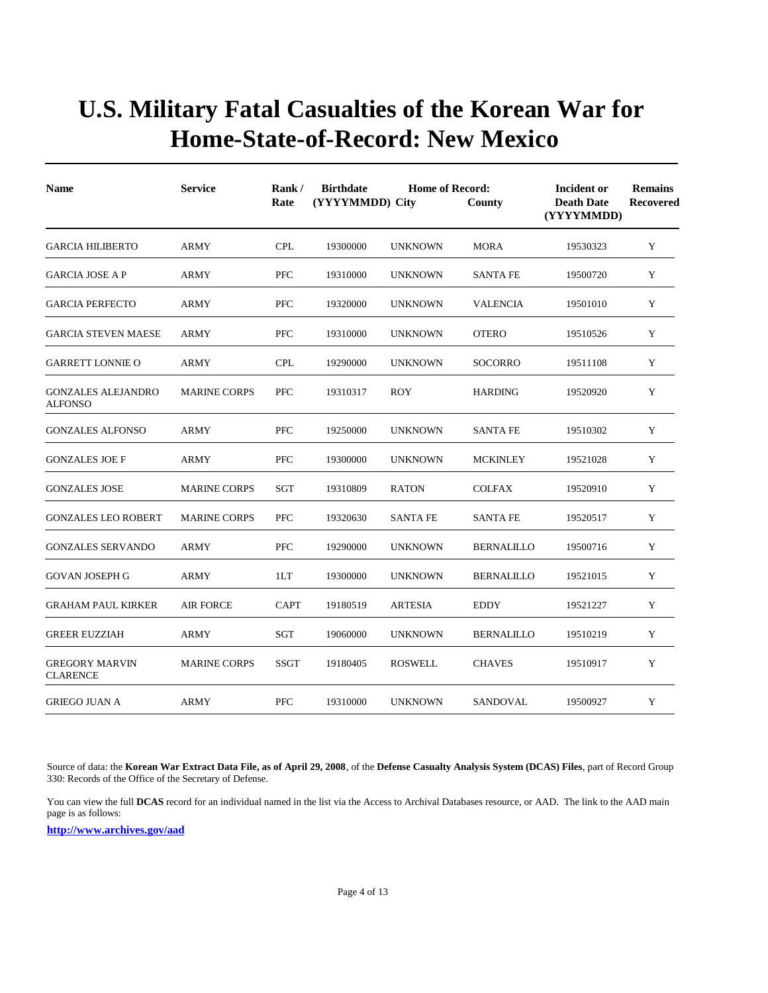| <b>Name</b>                                 | <b>Service</b>      | Rank/<br>Rate | <b>Birthdate</b><br><b>Home of Record:</b><br>(YYYYMMDD) City<br>County |                 |                   | Incident or<br><b>Death Date</b><br>(YYYYMMDD) | <b>Remains</b><br>Recovered |
|---------------------------------------------|---------------------|---------------|-------------------------------------------------------------------------|-----------------|-------------------|------------------------------------------------|-----------------------------|
| <b>GARCIA HILIBERTO</b>                     | ARMY                | <b>CPL</b>    | 19300000                                                                | <b>UNKNOWN</b>  | <b>MORA</b>       | 19530323                                       | $\mathbf Y$                 |
| <b>GARCIA JOSE A P</b>                      | ARMY                | <b>PFC</b>    | 19310000                                                                | <b>UNKNOWN</b>  | <b>SANTA FE</b>   | 19500720                                       | Y                           |
| <b>GARCIA PERFECTO</b>                      | ARMY                | <b>PFC</b>    | 19320000                                                                | <b>UNKNOWN</b>  | <b>VALENCIA</b>   | 19501010                                       | Y                           |
| <b>GARCIA STEVEN MAESE</b>                  | ARMY                | <b>PFC</b>    | 19310000                                                                | <b>UNKNOWN</b>  | <b>OTERO</b>      | 19510526                                       | Y                           |
| <b>GARRETT LONNIE O</b>                     | ARMY                | <b>CPL</b>    | 19290000                                                                | <b>UNKNOWN</b>  | <b>SOCORRO</b>    | 19511108                                       | Y                           |
| <b>GONZALES ALEJANDRO</b><br><b>ALFONSO</b> | <b>MARINE CORPS</b> | <b>PFC</b>    | 19310317                                                                | <b>ROY</b>      | <b>HARDING</b>    | 19520920                                       | Y                           |
| <b>GONZALES ALFONSO</b>                     | <b>ARMY</b>         | <b>PFC</b>    | 19250000                                                                | <b>UNKNOWN</b>  | <b>SANTA FE</b>   | 19510302                                       | Y                           |
| <b>GONZALES JOE F</b>                       | ARMY                | <b>PFC</b>    | 19300000                                                                | <b>UNKNOWN</b>  | <b>MCKINLEY</b>   | 19521028                                       | Y                           |
| <b>GONZALES JOSE</b>                        | <b>MARINE CORPS</b> | <b>SGT</b>    | 19310809                                                                | <b>RATON</b>    | <b>COLFAX</b>     | 19520910                                       | Y                           |
| <b>GONZALES LEO ROBERT</b>                  | <b>MARINE CORPS</b> | <b>PFC</b>    | 19320630                                                                | <b>SANTA FE</b> | <b>SANTA FE</b>   | 19520517                                       | Y                           |
| <b>GONZALES SERVANDO</b>                    | ARMY                | <b>PFC</b>    | 19290000                                                                | <b>UNKNOWN</b>  | <b>BERNALILLO</b> | 19500716                                       | Y                           |
| <b>GOVAN JOSEPH G</b>                       | <b>ARMY</b>         | 1LT           | 19300000                                                                | <b>UNKNOWN</b>  | <b>BERNALILLO</b> | 19521015                                       | Y                           |
| <b>GRAHAM PAUL KIRKER</b>                   | <b>AIR FORCE</b>    | <b>CAPT</b>   | 19180519                                                                | <b>ARTESIA</b>  | <b>EDDY</b>       | 19521227                                       | Y                           |
| <b>GREER EUZZIAH</b>                        | ARMY                | SGT           | 19060000                                                                | <b>UNKNOWN</b>  | <b>BERNALILLO</b> | 19510219                                       | Y                           |
| <b>GREGORY MARVIN</b><br><b>CLARENCE</b>    | <b>MARINE CORPS</b> | <b>SSGT</b>   | 19180405                                                                | <b>ROSWELL</b>  | <b>CHAVES</b>     | 19510917                                       | Y                           |
| <b>GRIEGO JUAN A</b>                        | <b>ARMY</b>         | <b>PFC</b>    | 19310000                                                                | <b>UNKNOWN</b>  | SANDOVAL          | 19500927                                       | Y                           |

Source of data: the **Korean War Extract Data File, as of April 29, 2008**, of the **Defense Casualty Analysis System (DCAS) Files**, part of Record Group 330: Records of the Office of the Secretary of Defense.

You can view the full **DCAS** record for an individual named in the list via the Access to Archival Databases resource, or AAD. The link to the AAD main page is as follows: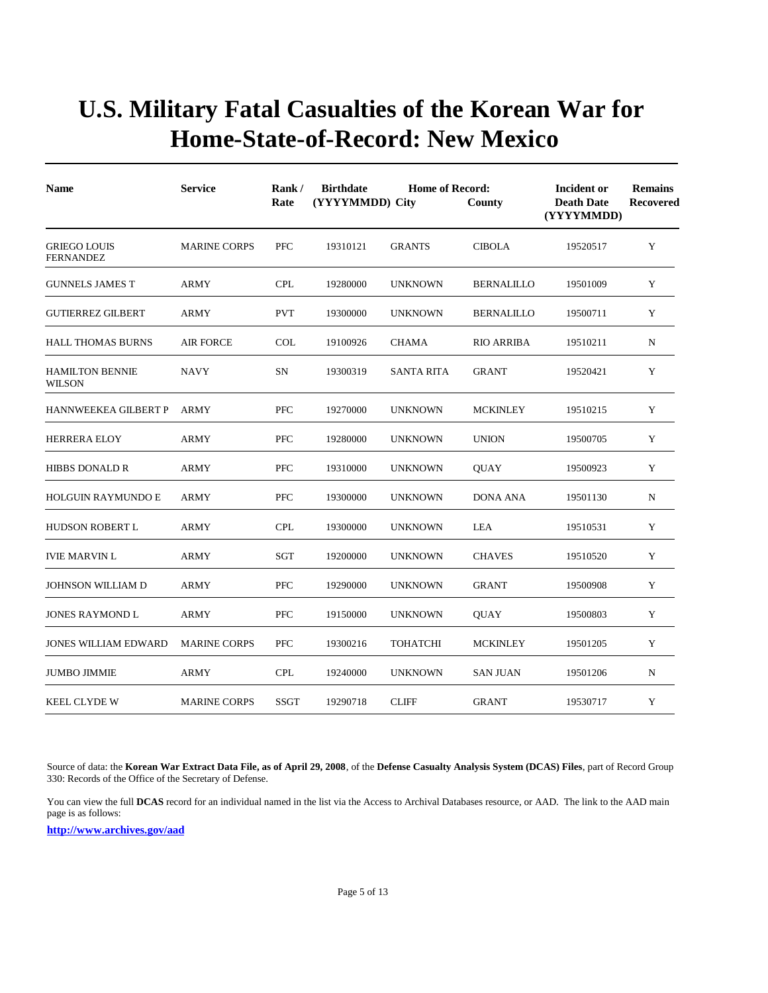| <b>Name</b>                             | <b>Service</b>      | Rank/<br>Rate | <b>Birthdate</b><br>(YYYYMMDD) City | <b>Home of Record:</b> | County            | <b>Incident or</b><br><b>Death Date</b><br>(YYYYMMDD) | <b>Remains</b><br><b>Recovered</b> |
|-----------------------------------------|---------------------|---------------|-------------------------------------|------------------------|-------------------|-------------------------------------------------------|------------------------------------|
| <b>GRIEGO LOUIS</b><br><b>FERNANDEZ</b> | <b>MARINE CORPS</b> | <b>PFC</b>    | 19310121                            | <b>GRANTS</b>          | <b>CIBOLA</b>     | 19520517                                              | Y                                  |
| <b>GUNNELS JAMES T</b>                  | ARMY                | <b>CPL</b>    | 19280000                            | <b>UNKNOWN</b>         | <b>BERNALILLO</b> | 19501009                                              | Y                                  |
| <b>GUTIERREZ GILBERT</b>                | <b>ARMY</b>         | <b>PVT</b>    | 19300000                            | <b>UNKNOWN</b>         | <b>BERNALILLO</b> | 19500711                                              | Y                                  |
| <b>HALL THOMAS BURNS</b>                | <b>AIR FORCE</b>    | <b>COL</b>    | 19100926                            | <b>CHAMA</b>           | <b>RIO ARRIBA</b> | 19510211                                              | N                                  |
| <b>HAMILTON BENNIE</b><br><b>WILSON</b> | <b>NAVY</b>         | <b>SN</b>     | 19300319                            | <b>SANTA RITA</b>      | <b>GRANT</b>      | 19520421                                              | Y                                  |
| <b>HANNWEEKEA GILBERT P</b>             | <b>ARMY</b>         | <b>PFC</b>    | 19270000                            | <b>UNKNOWN</b>         | <b>MCKINLEY</b>   | 19510215                                              | Y                                  |
| <b>HERRERA ELOY</b>                     | <b>ARMY</b>         | <b>PFC</b>    | 19280000                            | <b>UNKNOWN</b>         | <b>UNION</b>      | 19500705                                              | Y                                  |
| <b>HIBBS DONALD R</b>                   | <b>ARMY</b>         | <b>PFC</b>    | 19310000                            | <b>UNKNOWN</b>         | <b>OUAY</b>       | 19500923                                              | Y                                  |
| <b>HOLGUIN RAYMUNDO E</b>               | <b>ARMY</b>         | <b>PFC</b>    | 19300000                            | <b>UNKNOWN</b>         | <b>DONA ANA</b>   | 19501130                                              | $\mathbf N$                        |
| <b>HUDSON ROBERT L</b>                  | <b>ARMY</b>         | <b>CPL</b>    | 19300000                            | <b>UNKNOWN</b>         | LEA               | 19510531                                              | Y                                  |
| <b>IVIE MARVIN L</b>                    | <b>ARMY</b>         | SGT           | 19200000                            | <b>UNKNOWN</b>         | <b>CHAVES</b>     | 19510520                                              | Y                                  |
| JOHNSON WILLIAM D                       | <b>ARMY</b>         | PFC           | 19290000                            | <b>UNKNOWN</b>         | <b>GRANT</b>      | 19500908                                              | Y                                  |
| <b>JONES RAYMOND L</b>                  | ARMY                | <b>PFC</b>    | 19150000                            | <b>UNKNOWN</b>         | <b>OUAY</b>       | 19500803                                              | Y                                  |
| <b>JONES WILLIAM EDWARD</b>             | <b>MARINE CORPS</b> | <b>PFC</b>    | 19300216                            | <b>TOHATCHI</b>        | <b>MCKINLEY</b>   | 19501205                                              | Y                                  |
| <b>JUMBO JIMMIE</b>                     | ARMY                | <b>CPL</b>    | 19240000                            | <b>UNKNOWN</b>         | <b>SAN JUAN</b>   | 19501206                                              | N                                  |
| <b>KEEL CLYDE W</b>                     | <b>MARINE CORPS</b> | <b>SSGT</b>   | 19290718                            | <b>CLIFF</b>           | <b>GRANT</b>      | 19530717                                              | Y                                  |

Source of data: the **Korean War Extract Data File, as of April 29, 2008**, of the **Defense Casualty Analysis System (DCAS) Files**, part of Record Group 330: Records of the Office of the Secretary of Defense.

You can view the full **DCAS** record for an individual named in the list via the Access to Archival Databases resource, or AAD. The link to the AAD main page is as follows: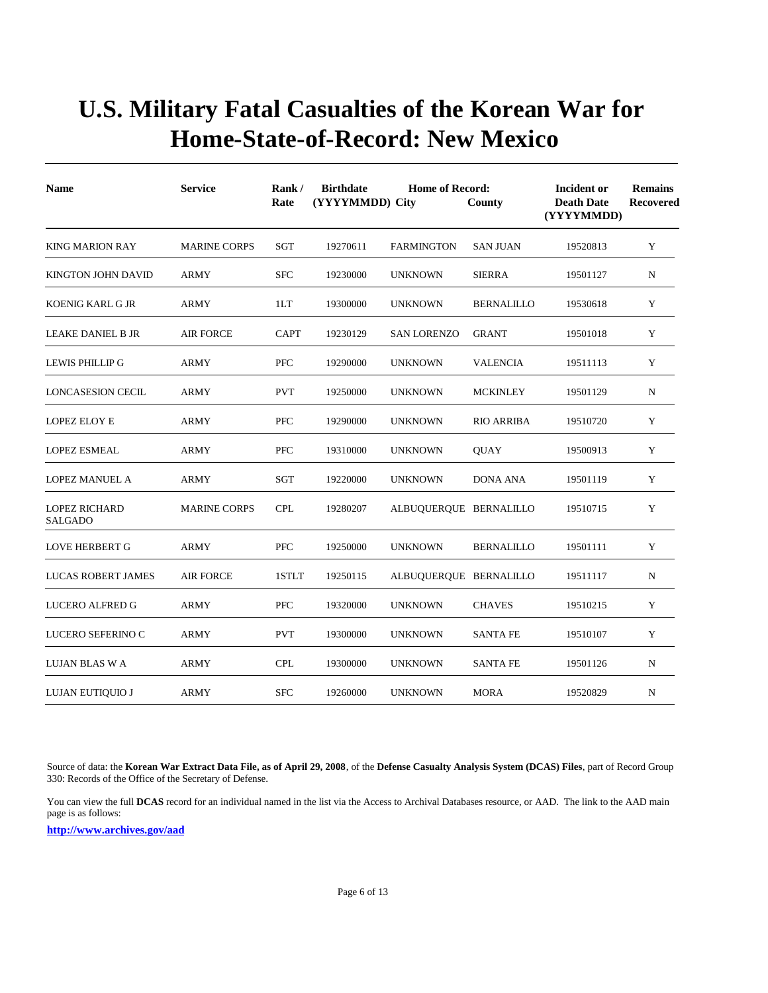| <b>Name</b>                            | <b>Service</b>      | Rank/<br>Rate | <b>Birthdate</b><br>(YYYYMMDD) City | <b>Incident or</b><br><b>Death Date</b><br>(YYYYMMDD) | <b>Remains</b><br>Recovered |          |             |
|----------------------------------------|---------------------|---------------|-------------------------------------|-------------------------------------------------------|-----------------------------|----------|-------------|
| <b>KING MARION RAY</b>                 | <b>MARINE CORPS</b> | SGT           | 19270611                            | <b>FARMINGTON</b>                                     | <b>SAN JUAN</b>             | 19520813 | Y           |
| KINGTON JOHN DAVID                     | <b>ARMY</b>         | <b>SFC</b>    | 19230000                            | <b>UNKNOWN</b>                                        | <b>SIERRA</b>               | 19501127 | N           |
| KOENIG KARL G JR                       | <b>ARMY</b>         | 1LT           | 19300000                            | <b>UNKNOWN</b>                                        | <b>BERNALILLO</b>           | 19530618 | Y           |
| <b>LEAKE DANIEL B JR</b>               | <b>AIR FORCE</b>    | <b>CAPT</b>   | 19230129                            | <b>SAN LORENZO</b>                                    | <b>GRANT</b>                | 19501018 | Y           |
| <b>LEWIS PHILLIP G</b>                 | <b>ARMY</b>         | <b>PFC</b>    | 19290000                            | <b>UNKNOWN</b>                                        | <b>VALENCIA</b>             | 19511113 | Y           |
| <b>LONCASESION CECIL</b>               | <b>ARMY</b>         | <b>PVT</b>    | 19250000                            | <b>UNKNOWN</b>                                        | <b>MCKINLEY</b>             | 19501129 | $\mathbf N$ |
| <b>LOPEZ ELOY E</b>                    | <b>ARMY</b>         | <b>PFC</b>    | 19290000                            | <b>UNKNOWN</b>                                        | <b>RIO ARRIBA</b>           | 19510720 | Y           |
| <b>LOPEZ ESMEAL</b>                    | <b>ARMY</b>         | <b>PFC</b>    | 19310000                            | <b>UNKNOWN</b>                                        | <b>OUAY</b>                 | 19500913 | Y           |
| <b>LOPEZ MANUEL A</b>                  | <b>ARMY</b>         | <b>SGT</b>    | 19220000                            | <b>UNKNOWN</b>                                        | <b>DONA ANA</b>             | 19501119 | Y           |
| <b>LOPEZ RICHARD</b><br><b>SALGADO</b> | <b>MARINE CORPS</b> | <b>CPL</b>    | 19280207                            | ALBUQUERQUE BERNALILLO                                |                             | 19510715 | Y           |
| <b>LOVE HERBERT G</b>                  | <b>ARMY</b>         | PFC           | 19250000                            | <b>UNKNOWN</b>                                        | <b>BERNALILLO</b>           | 19501111 | Y           |
| <b>LUCAS ROBERT JAMES</b>              | <b>AIR FORCE</b>    | 1STLT         | 19250115                            | ALBUQUERQUE BERNALILLO                                |                             | 19511117 | $\mathbf N$ |
| LUCERO ALFRED G                        | <b>ARMY</b>         | <b>PFC</b>    | 19320000                            | <b>UNKNOWN</b>                                        | <b>CHAVES</b>               | 19510215 | Y           |
| LUCERO SEFERINO C                      | <b>ARMY</b>         | <b>PVT</b>    | 19300000                            | <b>UNKNOWN</b>                                        | <b>SANTA FE</b>             | 19510107 | Y           |
| LUJAN BLAS W A                         | <b>ARMY</b>         | <b>CPL</b>    | 19300000                            | <b>UNKNOWN</b>                                        | <b>SANTA FE</b>             | 19501126 | N           |
| LUJAN EUTIQUIO J                       | ARMY                | <b>SFC</b>    | 19260000                            | <b>UNKNOWN</b>                                        | <b>MORA</b>                 | 19520829 | N           |

Source of data: the **Korean War Extract Data File, as of April 29, 2008**, of the **Defense Casualty Analysis System (DCAS) Files**, part of Record Group 330: Records of the Office of the Secretary of Defense.

You can view the full **DCAS** record for an individual named in the list via the Access to Archival Databases resource, or AAD. The link to the AAD main page is as follows: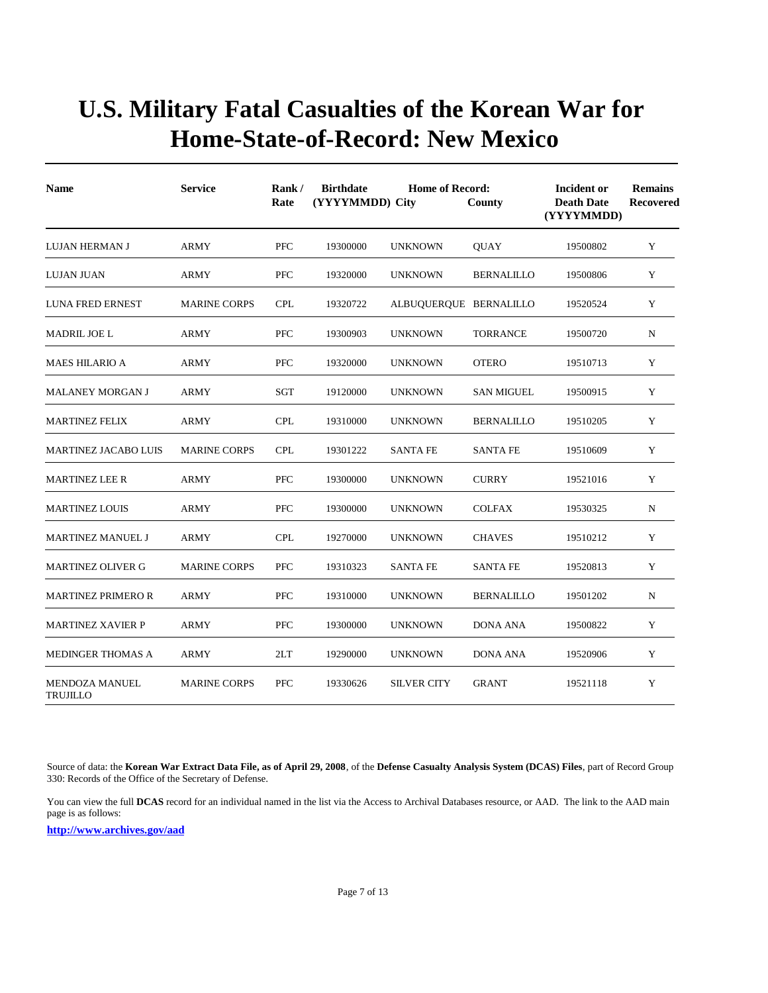| <b>Name</b>                              | <b>Service</b>      | Rank/<br>Rate | <b>Birthdate</b><br><b>Home of Record:</b><br>(YYYYMMDD) City<br>County |                        |                   | <b>Incident or</b><br><b>Death Date</b><br>(YYYYMMDD) | <b>Remains</b><br><b>Recovered</b> |
|------------------------------------------|---------------------|---------------|-------------------------------------------------------------------------|------------------------|-------------------|-------------------------------------------------------|------------------------------------|
| LUJAN HERMAN J                           | <b>ARMY</b>         | <b>PFC</b>    | 19300000                                                                | <b>UNKNOWN</b>         | <b>QUAY</b>       | 19500802                                              | Y                                  |
| LUJAN JUAN                               | <b>ARMY</b>         | <b>PFC</b>    | 19320000                                                                | <b>UNKNOWN</b>         | <b>BERNALILLO</b> | 19500806                                              | Y                                  |
| <b>LUNA FRED ERNEST</b>                  | <b>MARINE CORPS</b> | <b>CPL</b>    | 19320722                                                                | ALBUQUERQUE BERNALILLO |                   | 19520524                                              | Y                                  |
| MADRIL JOE L                             | <b>ARMY</b>         | <b>PFC</b>    | 19300903                                                                | <b>UNKNOWN</b>         | <b>TORRANCE</b>   | 19500720                                              | N                                  |
| <b>MAES HILARIO A</b>                    | <b>ARMY</b>         | PFC           | 19320000                                                                | <b>UNKNOWN</b>         | <b>OTERO</b>      | 19510713                                              | Y                                  |
| <b>MALANEY MORGAN J</b>                  | <b>ARMY</b>         | <b>SGT</b>    | 19120000                                                                | <b>UNKNOWN</b>         | <b>SAN MIGUEL</b> | 19500915                                              | Y                                  |
| <b>MARTINEZ FELIX</b>                    | ARMY                | <b>CPL</b>    | 19310000                                                                | <b>UNKNOWN</b>         | <b>BERNALILLO</b> | 19510205                                              | Y                                  |
| <b>MARTINEZ JACABO LUIS</b>              | <b>MARINE CORPS</b> | <b>CPL</b>    | 19301222                                                                | <b>SANTA FE</b>        | <b>SANTA FE</b>   | 19510609                                              | Y                                  |
| <b>MARTINEZ LEE R</b>                    | <b>ARMY</b>         | <b>PFC</b>    | 19300000                                                                | <b>UNKNOWN</b>         | <b>CURRY</b>      | 19521016                                              | Y                                  |
| <b>MARTINEZ LOUIS</b>                    | <b>ARMY</b>         | <b>PFC</b>    | 19300000                                                                | <b>UNKNOWN</b>         | <b>COLFAX</b>     | 19530325                                              | $\mathbf N$                        |
| <b>MARTINEZ MANUEL J</b>                 | <b>ARMY</b>         | <b>CPL</b>    | 19270000                                                                | <b>UNKNOWN</b>         | <b>CHAVES</b>     | 19510212                                              | Y                                  |
| <b>MARTINEZ OLIVER G</b>                 | <b>MARINE CORPS</b> | PFC           | 19310323                                                                | <b>SANTA FE</b>        | <b>SANTA FE</b>   | 19520813                                              | Y                                  |
| <b>MARTINEZ PRIMERO R</b>                | <b>ARMY</b>         | <b>PFC</b>    | 19310000                                                                | <b>UNKNOWN</b>         | <b>BERNALILLO</b> | 19501202                                              | N                                  |
| <b>MARTINEZ XAVIER P</b>                 | <b>ARMY</b>         | PFC           | 19300000                                                                | <b>UNKNOWN</b>         | <b>DONA ANA</b>   | 19500822                                              | Y                                  |
| <b>MEDINGER THOMAS A</b>                 | <b>ARMY</b>         | 2LT           | 19290000                                                                | <b>UNKNOWN</b>         | <b>DONA ANA</b>   | 19520906                                              | Y                                  |
| <b>MENDOZA MANUEL</b><br><b>TRUJILLO</b> | <b>MARINE CORPS</b> | <b>PFC</b>    | 19330626                                                                | <b>SILVER CITY</b>     | <b>GRANT</b>      | 19521118                                              | Y                                  |

Source of data: the **Korean War Extract Data File, as of April 29, 2008**, of the **Defense Casualty Analysis System (DCAS) Files**, part of Record Group 330: Records of the Office of the Secretary of Defense.

You can view the full **DCAS** record for an individual named in the list via the Access to Archival Databases resource, or AAD. The link to the AAD main page is as follows: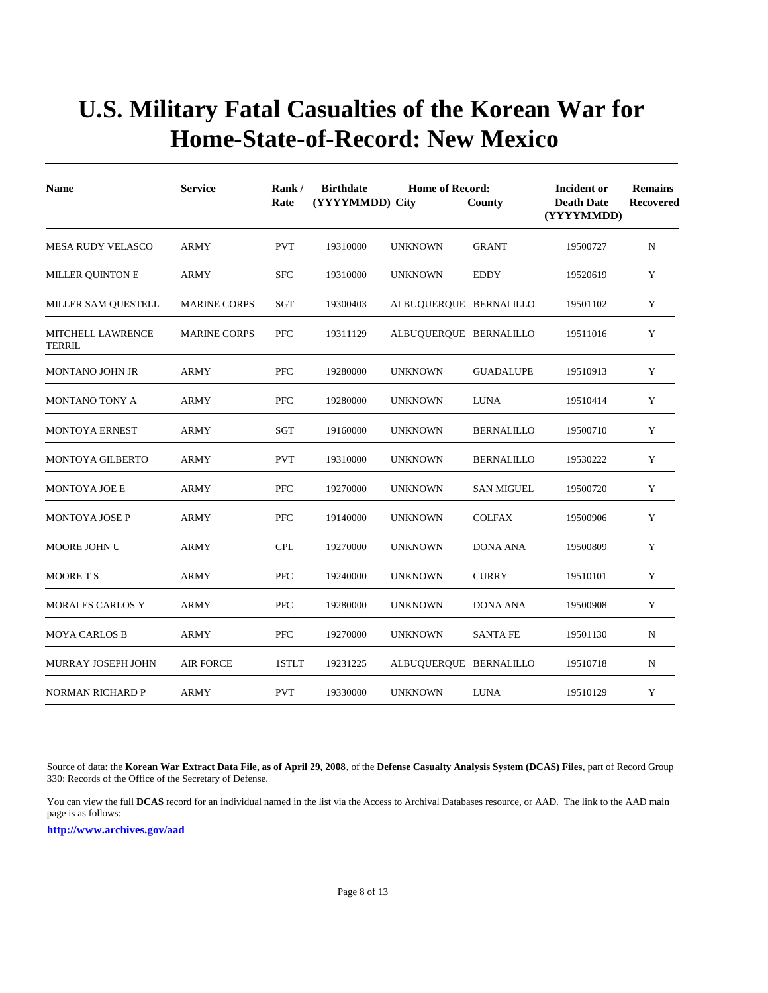| <b>Name</b>                        | <b>Service</b>      | Rank/<br>Rate | <b>Birthdate</b><br>(YYYYMMDD) City | <b>Home of Record:</b> | County            | <b>Incident or</b><br><b>Death Date</b><br>(YYYYMMDD) | <b>Remains</b><br><b>Recovered</b> |
|------------------------------------|---------------------|---------------|-------------------------------------|------------------------|-------------------|-------------------------------------------------------|------------------------------------|
| <b>MESA RUDY VELASCO</b>           | <b>ARMY</b>         | <b>PVT</b>    | 19310000                            | <b>UNKNOWN</b>         | <b>GRANT</b>      | 19500727                                              | N                                  |
| <b>MILLER QUINTON E</b>            | <b>ARMY</b>         | <b>SFC</b>    | 19310000                            | <b>UNKNOWN</b>         | <b>EDDY</b>       | 19520619                                              | Y                                  |
| MILLER SAM QUESTELL                | <b>MARINE CORPS</b> | SGT           | 19300403                            | ALBUQUERQUE BERNALILLO |                   | 19501102                                              | Y                                  |
| <b>MITCHELL LAWRENCE</b><br>TERRIL | <b>MARINE CORPS</b> | <b>PFC</b>    | 19311129                            | ALBUQUERQUE BERNALILLO |                   | 19511016                                              | Y                                  |
| <b>MONTANO JOHN JR</b>             | <b>ARMY</b>         | <b>PFC</b>    | 19280000                            | <b>UNKNOWN</b>         | <b>GUADALUPE</b>  | 19510913                                              | Y                                  |
| MONTANO TONY A                     | <b>ARMY</b>         | <b>PFC</b>    | 19280000                            | <b>UNKNOWN</b>         | <b>LUNA</b>       | 19510414                                              | Y                                  |
| <b>MONTOYA ERNEST</b>              | <b>ARMY</b>         | SGT           | 19160000                            | <b>UNKNOWN</b>         | <b>BERNALILLO</b> | 19500710                                              | Y                                  |
| <b>MONTOYA GILBERTO</b>            | <b>ARMY</b>         | <b>PVT</b>    | 19310000                            | <b>UNKNOWN</b>         | <b>BERNALILLO</b> | 19530222                                              | Y                                  |
| <b>MONTOYA JOE E</b>               | <b>ARMY</b>         | <b>PFC</b>    | 19270000                            | <b>UNKNOWN</b>         | <b>SAN MIGUEL</b> | 19500720                                              | Y                                  |
| <b>MONTOYA JOSE P</b>              | <b>ARMY</b>         | <b>PFC</b>    | 19140000                            | <b>UNKNOWN</b>         | <b>COLFAX</b>     | 19500906                                              | Y                                  |
| <b>MOORE JOHN U</b>                | <b>ARMY</b>         | <b>CPL</b>    | 19270000                            | <b>UNKNOWN</b>         | <b>DONA ANA</b>   | 19500809                                              | Y                                  |
| <b>MOORETS</b>                     | <b>ARMY</b>         | <b>PFC</b>    | 19240000                            | <b>UNKNOWN</b>         | <b>CURRY</b>      | 19510101                                              | Y                                  |
| <b>MORALES CARLOS Y</b>            | <b>ARMY</b>         | <b>PFC</b>    | 19280000                            | <b>UNKNOWN</b>         | <b>DONA ANA</b>   | 19500908                                              | Y                                  |
| <b>MOYA CARLOS B</b>               | <b>ARMY</b>         | <b>PFC</b>    | 19270000                            | <b>UNKNOWN</b>         | <b>SANTA FE</b>   | 19501130                                              | $\mathbf N$                        |
| MURRAY JOSEPH JOHN                 | <b>AIR FORCE</b>    | 1STLT         | 19231225                            | ALBUQUERQUE BERNALILLO |                   | 19510718                                              | N                                  |
| <b>NORMAN RICHARD P</b>            | <b>ARMY</b>         | <b>PVT</b>    | 19330000                            | <b>UNKNOWN</b>         | <b>LUNA</b>       | 19510129                                              | Y                                  |

Source of data: the **Korean War Extract Data File, as of April 29, 2008**, of the **Defense Casualty Analysis System (DCAS) Files**, part of Record Group 330: Records of the Office of the Secretary of Defense.

You can view the full **DCAS** record for an individual named in the list via the Access to Archival Databases resource, or AAD. The link to the AAD main page is as follows: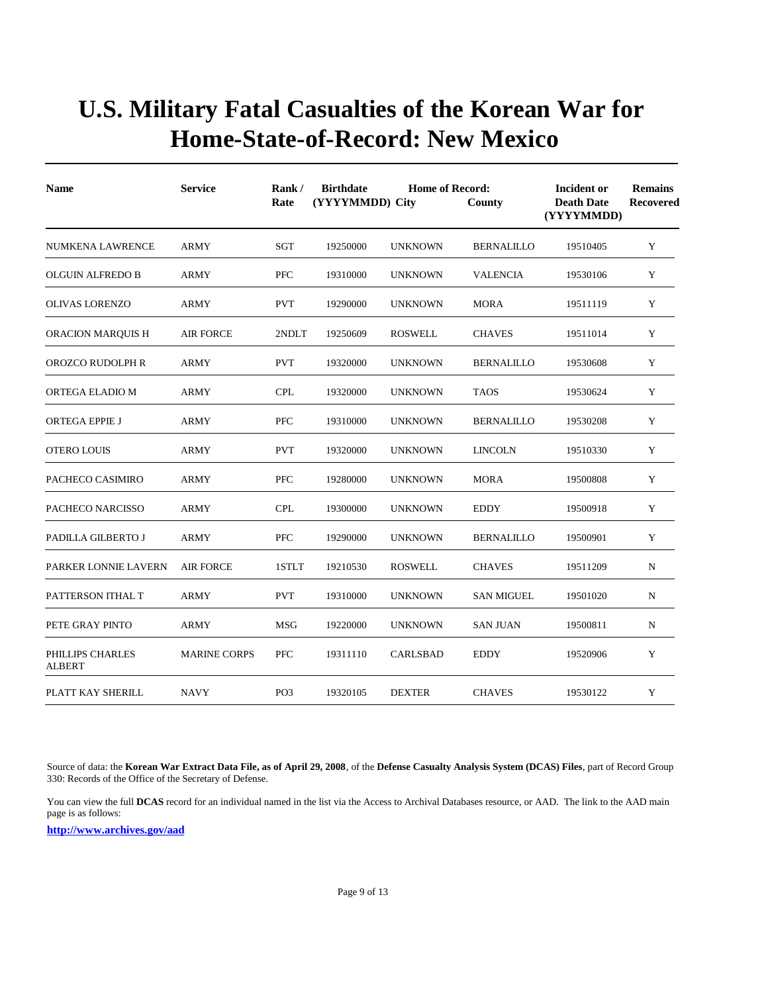| <b>Name</b>                       | <b>Service</b>      | Rank/<br>Rate   | <b>Birthdate</b><br>(YYYYMMDD) City | <b>Incident or</b><br><b>Death Date</b><br>(YYYYMMDD) | <b>Remains</b><br>Recovered |          |              |
|-----------------------------------|---------------------|-----------------|-------------------------------------|-------------------------------------------------------|-----------------------------|----------|--------------|
| NUMKENA LAWRENCE                  | <b>ARMY</b>         | <b>SGT</b>      | 19250000                            | <b>UNKNOWN</b>                                        | <b>BERNALILLO</b>           | 19510405 | Y            |
| <b>OLGUIN ALFREDO B</b>           | <b>ARMY</b>         | <b>PFC</b>      | 19310000                            | <b>UNKNOWN</b>                                        | <b>VALENCIA</b>             | 19530106 | Y            |
| <b>OLIVAS LORENZO</b>             | <b>ARMY</b>         | <b>PVT</b>      | 19290000                            | <b>UNKNOWN</b>                                        | <b>MORA</b>                 | 19511119 | Y            |
| ORACION MARQUIS H                 | <b>AIR FORCE</b>    | 2NDLT           | 19250609                            | <b>ROSWELL</b>                                        | <b>CHAVES</b>               | 19511014 | Y            |
| OROZCO RUDOLPH R                  | <b>ARMY</b>         | <b>PVT</b>      | 19320000                            | <b>UNKNOWN</b>                                        | <b>BERNALILLO</b>           | 19530608 | Y            |
| ORTEGA ELADIO M                   | ARMY                | <b>CPL</b>      | 19320000                            | <b>UNKNOWN</b>                                        | <b>TAOS</b>                 | 19530624 | Y            |
| <b>ORTEGA EPPIE J</b>             | ARMY                | <b>PFC</b>      | 19310000                            | <b>UNKNOWN</b>                                        | <b>BERNALILLO</b>           | 19530208 | Y            |
| <b>OTERO LOUIS</b>                | <b>ARMY</b>         | <b>PVT</b>      | 19320000                            | <b>UNKNOWN</b>                                        | <b>LINCOLN</b>              | 19510330 | Y            |
| PACHECO CASIMIRO                  | ARMY                | <b>PFC</b>      | 19280000                            | <b>UNKNOWN</b>                                        | <b>MORA</b>                 | 19500808 | Y            |
| PACHECO NARCISSO                  | ARMY                | <b>CPL</b>      | 19300000                            | <b>UNKNOWN</b>                                        | <b>EDDY</b>                 | 19500918 | Y            |
| PADILLA GILBERTO J                | ARMY                | <b>PFC</b>      | 19290000                            | <b>UNKNOWN</b>                                        | <b>BERNALILLO</b>           | 19500901 | Y            |
| PARKER LONNIE LAVERN              | <b>AIR FORCE</b>    | 1STLT           | 19210530                            | <b>ROSWELL</b>                                        | <b>CHAVES</b>               | 19511209 | N            |
| PATTERSON ITHAL T                 | ARMY                | <b>PVT</b>      | 19310000                            | <b>UNKNOWN</b>                                        | <b>SAN MIGUEL</b>           | 19501020 | $\, {\rm N}$ |
| PETE GRAY PINTO                   | <b>ARMY</b>         | <b>MSG</b>      | 19220000                            | <b>UNKNOWN</b>                                        | <b>SAN JUAN</b>             | 19500811 | $\, {\rm N}$ |
| PHILLIPS CHARLES<br><b>ALBERT</b> | <b>MARINE CORPS</b> | <b>PFC</b>      | 19311110                            | <b>CARLSBAD</b>                                       | <b>EDDY</b>                 | 19520906 | Y            |
| PLATT KAY SHERILL                 | <b>NAVY</b>         | PO <sub>3</sub> | 19320105                            | <b>DEXTER</b>                                         | <b>CHAVES</b>               | 19530122 | Y            |

Source of data: the **Korean War Extract Data File, as of April 29, 2008**, of the **Defense Casualty Analysis System (DCAS) Files**, part of Record Group 330: Records of the Office of the Secretary of Defense.

You can view the full **DCAS** record for an individual named in the list via the Access to Archival Databases resource, or AAD. The link to the AAD main page is as follows: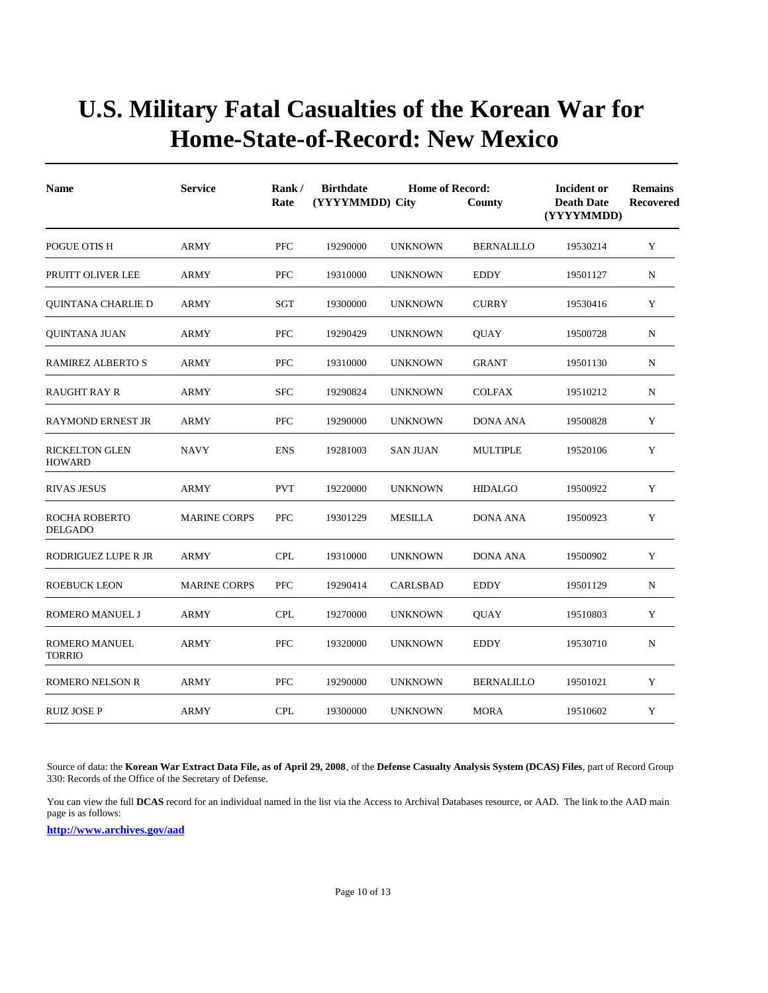| <b>Name</b>                            | <b>Service</b>      | Rank/<br>Rate | <b>Birthdate</b><br><b>Home of Record:</b><br>(YYYYMMDD) City<br>County |                 |                   | Incident or<br><b>Death Date</b><br>(YYYYMMDD) | <b>Remains</b><br>Recovered |
|----------------------------------------|---------------------|---------------|-------------------------------------------------------------------------|-----------------|-------------------|------------------------------------------------|-----------------------------|
| POGUE OTIS H                           | <b>ARMY</b>         | <b>PFC</b>    | 19290000                                                                | <b>UNKNOWN</b>  | <b>BERNALILLO</b> | 19530214                                       | Y                           |
| PRUITT OLIVER LEE                      | ARMY                | <b>PFC</b>    | 19310000                                                                | <b>UNKNOWN</b>  | <b>EDDY</b>       | 19501127                                       | N                           |
| QUINTANA CHARLIE D                     | <b>ARMY</b>         | SGT           | 19300000                                                                | <b>UNKNOWN</b>  | <b>CURRY</b>      | 19530416                                       | Y                           |
| QUINTANA JUAN                          | ARMY                | <b>PFC</b>    | 19290429                                                                | <b>UNKNOWN</b>  | <b>OUAY</b>       | 19500728                                       | N                           |
| <b>RAMIREZ ALBERTO S</b>               | ARMY                | PFC           | 19310000                                                                | <b>UNKNOWN</b>  | <b>GRANT</b>      | 19501130                                       | N                           |
| <b>RAUGHT RAY R</b>                    | <b>ARMY</b>         | <b>SFC</b>    | 19290824                                                                | <b>UNKNOWN</b>  | <b>COLFAX</b>     | 19510212                                       | N                           |
| <b>RAYMOND ERNEST JR</b>               | ARMY                | <b>PFC</b>    | 19290000                                                                | <b>UNKNOWN</b>  | <b>DONA ANA</b>   | 19500828                                       | Y                           |
| <b>RICKELTON GLEN</b><br><b>HOWARD</b> | <b>NAVY</b>         | <b>ENS</b>    | 19281003                                                                | <b>SAN JUAN</b> | <b>MULTIPLE</b>   | 19520106                                       | Y                           |
| <b>RIVAS JESUS</b>                     | ARMY                | <b>PVT</b>    | 19220000                                                                | <b>UNKNOWN</b>  | <b>HIDALGO</b>    | 19500922                                       | Y                           |
| <b>ROCHA ROBERTO</b><br><b>DELGADO</b> | <b>MARINE CORPS</b> | PFC           | 19301229                                                                | <b>MESILLA</b>  | <b>DONA ANA</b>   | 19500923                                       | Y                           |
| RODRIGUEZ LUPE R JR                    | <b>ARMY</b>         | <b>CPL</b>    | 19310000                                                                | <b>UNKNOWN</b>  | <b>DONA ANA</b>   | 19500902                                       | Y                           |
| <b>ROEBUCK LEON</b>                    | <b>MARINE CORPS</b> | <b>PFC</b>    | 19290414                                                                | CARLSBAD        | <b>EDDY</b>       | 19501129                                       | N                           |
| ROMERO MANUEL J                        | ARMY                | <b>CPL</b>    | 19270000                                                                | <b>UNKNOWN</b>  | <b>QUAY</b>       | 19510803                                       | Y                           |
| <b>ROMERO MANUEL</b><br><b>TORRIO</b>  | ARMY                | <b>PFC</b>    | 19320000                                                                | <b>UNKNOWN</b>  | <b>EDDY</b>       | 19530710                                       | N                           |
| <b>ROMERO NELSON R</b>                 | ARMY                | <b>PFC</b>    | 19290000                                                                | <b>UNKNOWN</b>  | <b>BERNALILLO</b> | 19501021                                       | Y                           |
| <b>RUIZ JOSE P</b>                     | <b>ARMY</b>         | <b>CPL</b>    | 19300000                                                                | <b>UNKNOWN</b>  | <b>MORA</b>       | 19510602                                       | Y                           |

Source of data: the **Korean War Extract Data File, as of April 29, 2008**, of the **Defense Casualty Analysis System (DCAS) Files**, part of Record Group 330: Records of the Office of the Secretary of Defense.

You can view the full **DCAS** record for an individual named in the list via the Access to Archival Databases resource, or AAD. The link to the AAD main page is as follows: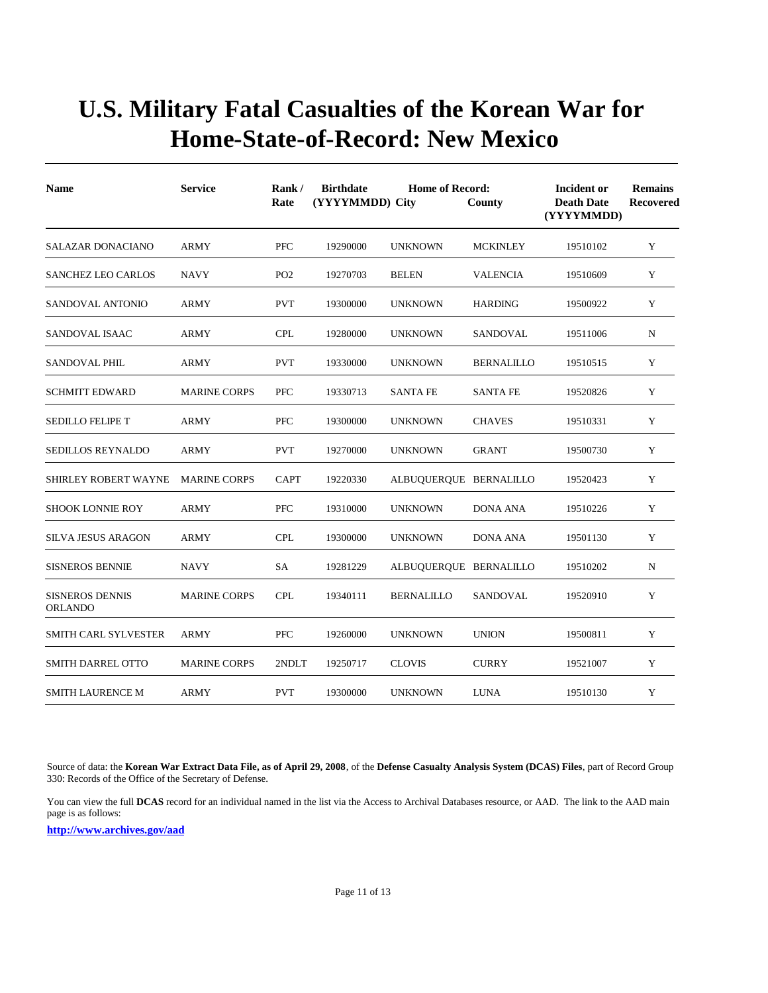| <b>Name</b>                              | <b>Service</b>      | Rank/<br>Rate   | <b>Birthdate</b><br><b>Home of Record:</b><br>(YYYYMMDD) City<br>County |                        |                   | <b>Incident or</b><br><b>Death Date</b><br>(YYYYMMDD) | <b>Remains</b><br>Recovered |
|------------------------------------------|---------------------|-----------------|-------------------------------------------------------------------------|------------------------|-------------------|-------------------------------------------------------|-----------------------------|
| <b>SALAZAR DONACIANO</b>                 | <b>ARMY</b>         | <b>PFC</b>      | 19290000                                                                | <b>UNKNOWN</b>         | <b>MCKINLEY</b>   | 19510102                                              | Y                           |
| <b>SANCHEZ LEO CARLOS</b>                | <b>NAVY</b>         | PO <sub>2</sub> | 19270703                                                                | <b>BELEN</b>           | <b>VALENCIA</b>   | 19510609                                              | Y                           |
| SANDOVAL ANTONIO                         | <b>ARMY</b>         | <b>PVT</b>      | 19300000                                                                | <b>UNKNOWN</b>         | <b>HARDING</b>    | 19500922                                              | Y                           |
| SANDOVAL ISAAC                           | <b>ARMY</b>         | <b>CPL</b>      | 19280000                                                                | <b>UNKNOWN</b>         | SANDOVAL          | 19511006                                              | N                           |
| <b>SANDOVAL PHIL</b>                     | <b>ARMY</b>         | <b>PVT</b>      | 19330000                                                                | <b>UNKNOWN</b>         | <b>BERNALILLO</b> | 19510515                                              | Y                           |
| <b>SCHMITT EDWARD</b>                    | <b>MARINE CORPS</b> | <b>PFC</b>      | 19330713                                                                | <b>SANTA FE</b>        | <b>SANTA FE</b>   | 19520826                                              | Y                           |
| <b>SEDILLO FELIPE T</b>                  | <b>ARMY</b>         | <b>PFC</b>      | 19300000                                                                | <b>UNKNOWN</b>         | <b>CHAVES</b>     | 19510331                                              | Y                           |
| SEDILLOS REYNALDO                        | ARMY                | <b>PVT</b>      | 19270000                                                                | <b>UNKNOWN</b>         | <b>GRANT</b>      | 19500730                                              | Y                           |
| SHIRLEY ROBERT WAYNE                     | <b>MARINE CORPS</b> | <b>CAPT</b>     | 19220330                                                                | ALBUQUERQUE BERNALILLO |                   | 19520423                                              | Y                           |
| <b>SHOOK LONNIE ROY</b>                  | <b>ARMY</b>         | <b>PFC</b>      | 19310000                                                                | <b>UNKNOWN</b>         | <b>DONA ANA</b>   | 19510226                                              | Y                           |
| <b>SILVA JESUS ARAGON</b>                | <b>ARMY</b>         | <b>CPL</b>      | 19300000                                                                | <b>UNKNOWN</b>         | <b>DONA ANA</b>   | 19501130                                              | Y                           |
| <b>SISNEROS BENNIE</b>                   | <b>NAVY</b>         | SA              | 19281229                                                                | ALBUQUERQUE BERNALILLO |                   | 19510202                                              | N                           |
| <b>SISNEROS DENNIS</b><br><b>ORLANDO</b> | <b>MARINE CORPS</b> | <b>CPL</b>      | 19340111                                                                | <b>BERNALILLO</b>      | SANDOVAL          | 19520910                                              | Y                           |
| SMITH CARL SYLVESTER                     | <b>ARMY</b>         | <b>PFC</b>      | 19260000                                                                | <b>UNKNOWN</b>         | <b>UNION</b>      | 19500811                                              | Y                           |
| <b>SMITH DARREL OTTO</b>                 | <b>MARINE CORPS</b> | 2NDLT           | 19250717                                                                | <b>CLOVIS</b>          | <b>CURRY</b>      | 19521007                                              | Y                           |
| SMITH LAURENCE M                         | ARMY                | <b>PVT</b>      | 19300000                                                                | <b>UNKNOWN</b>         | LUNA              | 19510130                                              | Y                           |

Source of data: the **Korean War Extract Data File, as of April 29, 2008**, of the **Defense Casualty Analysis System (DCAS) Files**, part of Record Group 330: Records of the Office of the Secretary of Defense.

You can view the full **DCAS** record for an individual named in the list via the Access to Archival Databases resource, or AAD. The link to the AAD main page is as follows: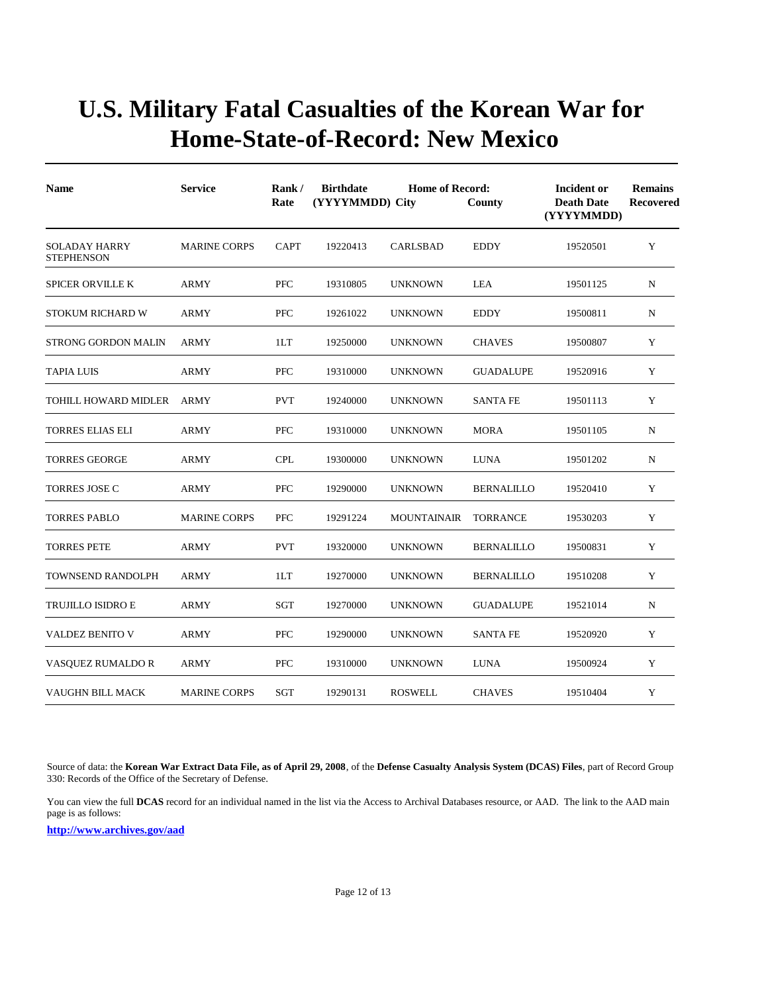| <b>Name</b>                               | <b>Service</b>      | Rank/<br>Rate | <b>Birthdate</b><br>(YYYYMMDD) City | <b>Home of Record:</b> | County            | Incident or<br><b>Death Date</b><br>(YYYYMMDD) | <b>Remains</b><br><b>Recovered</b> |
|-------------------------------------------|---------------------|---------------|-------------------------------------|------------------------|-------------------|------------------------------------------------|------------------------------------|
| <b>SOLADAY HARRY</b><br><b>STEPHENSON</b> | <b>MARINE CORPS</b> | <b>CAPT</b>   | 19220413                            | CARLSBAD               | <b>EDDY</b>       | 19520501                                       | Y                                  |
| <b>SPICER ORVILLE K</b>                   | ARMY                | PFC           | 19310805                            | <b>UNKNOWN</b>         | LEA               | 19501125                                       | N                                  |
| STOKUM RICHARD W                          | ARMY                | <b>PFC</b>    | 19261022                            | <b>UNKNOWN</b>         | <b>EDDY</b>       | 19500811                                       | $\mathbf N$                        |
| <b>STRONG GORDON MALIN</b>                | <b>ARMY</b>         | 1LT           | 19250000                            | <b>UNKNOWN</b>         | <b>CHAVES</b>     | 19500807                                       | Y                                  |
| <b>TAPIA LUIS</b>                         | ARMY                | PFC           | 19310000                            | <b>UNKNOWN</b>         | <b>GUADALUPE</b>  | 19520916                                       | Y                                  |
| TOHILL HOWARD MIDLER                      | <b>ARMY</b>         | <b>PVT</b>    | 19240000                            | <b>UNKNOWN</b>         | <b>SANTA FE</b>   | 19501113                                       | Y                                  |
| <b>TORRES ELIAS ELI</b>                   | ARMY                | <b>PFC</b>    | 19310000                            | <b>UNKNOWN</b>         | <b>MORA</b>       | 19501105                                       | N                                  |
| <b>TORRES GEORGE</b>                      | <b>ARMY</b>         | <b>CPL</b>    | 19300000                            | <b>UNKNOWN</b>         | <b>LUNA</b>       | 19501202                                       | N                                  |
| <b>TORRES JOSE C</b>                      | <b>ARMY</b>         | <b>PFC</b>    | 19290000                            | <b>UNKNOWN</b>         | <b>BERNALILLO</b> | 19520410                                       | Y                                  |
| <b>TORRES PABLO</b>                       | <b>MARINE CORPS</b> | <b>PFC</b>    | 19291224                            | <b>MOUNTAINAIR</b>     | <b>TORRANCE</b>   | 19530203                                       | Y                                  |
| <b>TORRES PETE</b>                        | <b>ARMY</b>         | <b>PVT</b>    | 19320000                            | <b>UNKNOWN</b>         | <b>BERNALILLO</b> | 19500831                                       | Y                                  |
| <b>TOWNSEND RANDOLPH</b>                  | <b>ARMY</b>         | 1LT           | 19270000                            | <b>UNKNOWN</b>         | <b>BERNALILLO</b> | 19510208                                       | Y                                  |
| <b>TRUJILLO ISIDRO E</b>                  | ARMY                | <b>SGT</b>    | 19270000                            | <b>UNKNOWN</b>         | <b>GUADALUPE</b>  | 19521014                                       | $\mathbf N$                        |
| <b>VALDEZ BENITO V</b>                    | <b>ARMY</b>         | <b>PFC</b>    | 19290000                            | <b>UNKNOWN</b>         | <b>SANTA FE</b>   | 19520920                                       | Y                                  |
| VASQUEZ RUMALDO R                         | <b>ARMY</b>         | <b>PFC</b>    | 19310000                            | <b>UNKNOWN</b>         | <b>LUNA</b>       | 19500924                                       | Y                                  |
| VAUGHN BILL MACK                          | <b>MARINE CORPS</b> | SGT           | 19290131                            | <b>ROSWELL</b>         | <b>CHAVES</b>     | 19510404                                       | Y                                  |

Source of data: the **Korean War Extract Data File, as of April 29, 2008**, of the **Defense Casualty Analysis System (DCAS) Files**, part of Record Group 330: Records of the Office of the Secretary of Defense.

You can view the full **DCAS** record for an individual named in the list via the Access to Archival Databases resource, or AAD. The link to the AAD main page is as follows: